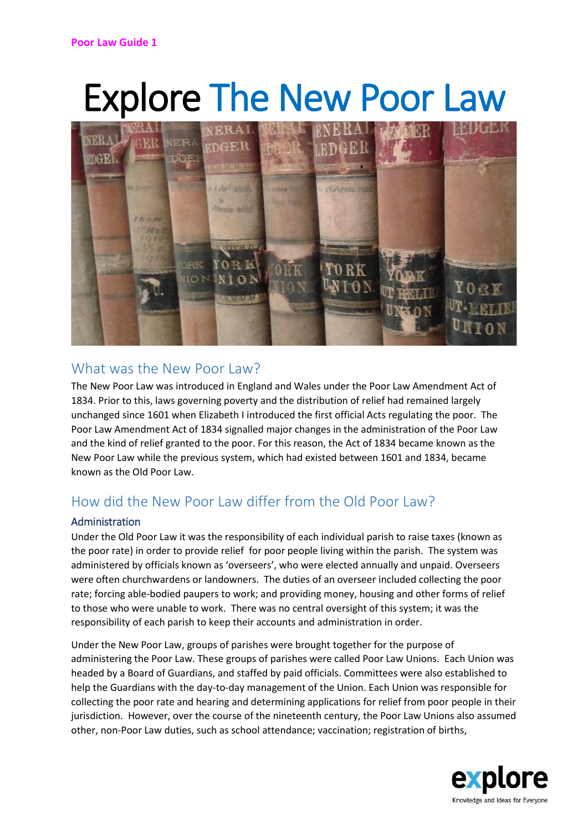# Explore The New Poor Law



### What was the New Poor Law?

The New Poor Law was introduced in England and Wales under the Poor Law Amendment Act of 1834. Prior to this, laws governing poverty and the distribution of relief had remained largely unchanged since 1601 when Elizabeth I introduced the first official Acts regulating the poor. The Poor Law Amendment Act of 1834 signalled major changes in the administration of the Poor Law and the kind of relief granted to the poor. For this reason, the Act of 1834 became known as the New Poor Law while the previous system, which had existed between 1601 and 1834, became known as the Old Poor Law.

## How did the New Poor Law differ from the Old Poor Law?

#### Administration

Under the Old Poor Law it was the responsibility of each individual parish to raise taxes (known as the poor rate) in order to provide relief for poor people living within the parish. The system was administered by officials known as 'overseers', who were elected annually and unpaid. Overseers were often churchwardens or landowners. The duties of an overseer included collecting the poor rate; forcing able-bodied paupers to work; and providing money, housing and other forms of relief to those who were unable to work. There was no central oversight of this system; it was the responsibility of each parish to keep their accounts and administration in order.

Under the New Poor Law, groups of parishes were brought together for the purpose of administering the Poor Law. These groups of parishes were called Poor Law Unions. Each Union was headed by a Board of Guardians, and staffed by paid officials. Committees were also established to help the Guardians with the day-to-day management of the Union. Each Union was responsible for collecting the poor rate and hearing and determining applications for relief from poor people in their jurisdiction. However, over the course of the nineteenth century, the Poor Law Unions also assumed other, non-Poor Law duties, such as school attendance; vaccination; registration of births,